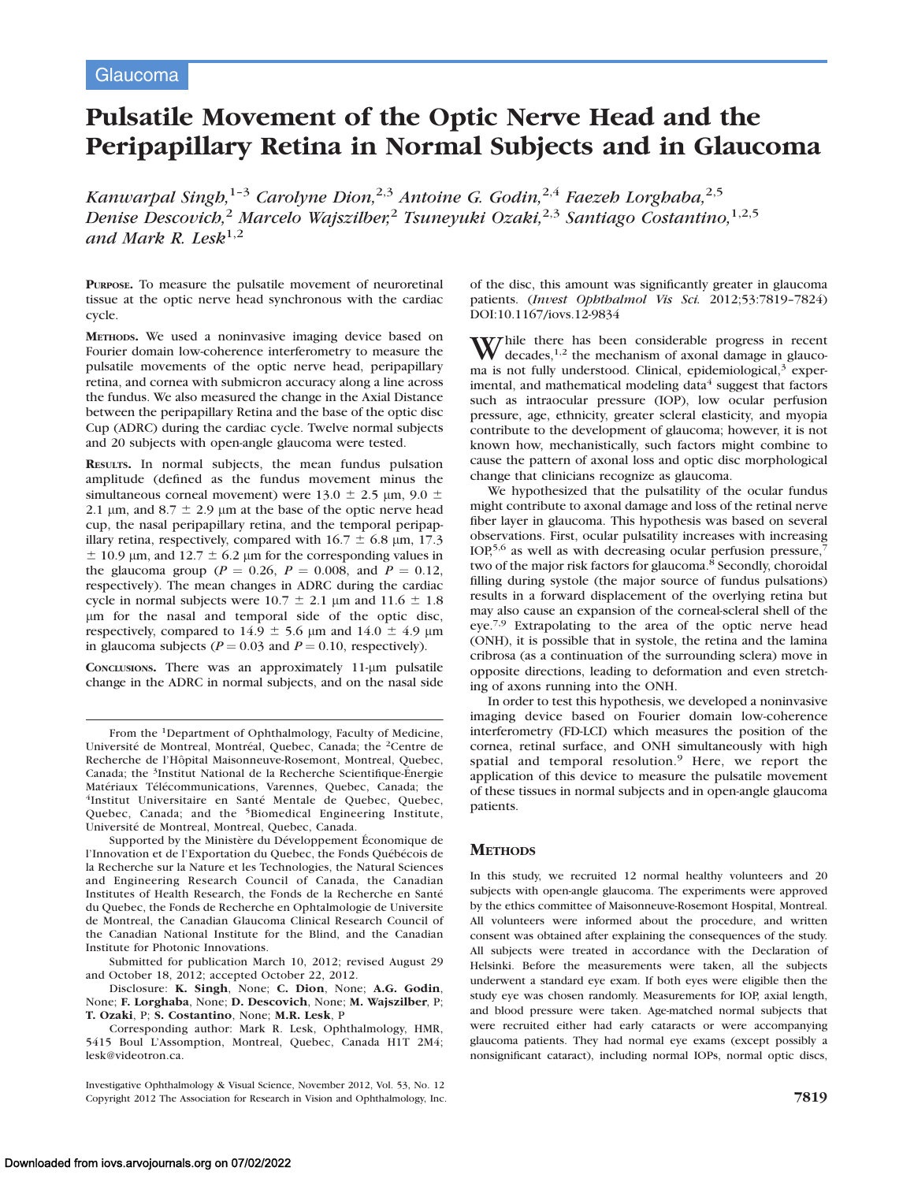# Pulsatile Movement of the Optic Nerve Head and the Peripapillary Retina in Normal Subjects and in Glaucoma

Kanwarpal Singh,<sup>1-3</sup> Carolyne Dion,<sup>2,3</sup> Antoine G. Godin,<sup>2,4</sup> Faezeh Lorghaba,<sup>2,5</sup> Denise Descovich,<sup>2</sup> Marcelo Wajszilber,<sup>2</sup> Tsuneyuki Ozaki,<sup>2,3</sup> Santiago Costantino,<sup>1,2,5</sup> and Mark R. Lesk<sup>1,2</sup>

PURPOSE. To measure the pulsatile movement of neuroretinal tissue at the optic nerve head synchronous with the cardiac cycle.

METHODS. We used a noninvasive imaging device based on Fourier domain low-coherence interferometry to measure the pulsatile movements of the optic nerve head, peripapillary retina, and cornea with submicron accuracy along a line across the fundus. We also measured the change in the Axial Distance between the peripapillary Retina and the base of the optic disc Cup (ADRC) during the cardiac cycle. Twelve normal subjects and 20 subjects with open-angle glaucoma were tested.

RESULTS. In normal subjects, the mean fundus pulsation amplitude (defined as the fundus movement minus the simultaneous corneal movement) were  $13.0 \pm 2.5$  µm,  $9.0 \pm$ 2.1  $\mu$ m, and 8.7  $\pm$  2.9  $\mu$ m at the base of the optic nerve head cup, the nasal peripapillary retina, and the temporal peripapillary retina, respectively, compared with  $16.7 \pm 6.8$  µm, 17.3  $\pm$  10.9 µm, and 12.7  $\pm$  6.2 µm for the corresponding values in the glaucoma group ( $P = 0.26$ ,  $P = 0.008$ , and  $P = 0.12$ , respectively). The mean changes in ADRC during the cardiac cycle in normal subjects were  $10.7 \pm 2.1$  µm and  $11.6 \pm 1.8$ lm for the nasal and temporal side of the optic disc, respectively, compared to  $14.9 \pm 5.6$  µm and  $14.0 \pm 4.9$  µm in glaucoma subjects ( $P = 0.03$  and  $P = 0.10$ , respectively).

CONCLUSIONS. There was an approximately 11-um pulsatile change in the ADRC in normal subjects, and on the nasal side

Supported by the Ministère du Développement Économique de l'Innovation et de l'Exportation du Quebec, the Fonds Québécois de la Recherche sur la Nature et les Technologies, the Natural Sciences and Engineering Research Council of Canada, the Canadian Institutes of Health Research, the Fonds de la Recherche en Santé du Quebec, the Fonds de Recherche en Ophtalmologie de Universite de Montreal, the Canadian Glaucoma Clinical Research Council of the Canadian National Institute for the Blind, and the Canadian Institute for Photonic Innovations.

Submitted for publication March 10, 2012; revised August 29 and October 18, 2012; accepted October 22, 2012.

Disclosure: K. Singh, None; C. Dion, None; A.G. Godin, None; F. Lorghaba, None; D. Descovich, None; M. Wajszilber, P; T. Ozaki, P; S. Costantino, None; M.R. Lesk, P

Corresponding author: Mark R. Lesk, Ophthalmology, HMR, 5415 Boul L'Assomption, Montreal, Quebec, Canada H1T 2M4; lesk@videotron.ca.

Investigative Ophthalmology & Visual Science, November 2012, Vol. 53, No. 12 Copyright 2012 The Association for Research in Vision and Ophthalmology, Inc. 7819

of the disc, this amount was significantly greater in glaucoma patients. (Invest Ophthalmol Vis Sci. 2012;53:7819–7824) DOI:10.1167/iovs.12-9834

While there has been considerable progress in recent decades,<sup>1,2</sup> the mechanism of axonal damage in glaucoma is not fully understood. Clinical, epidemiological,<sup>3</sup> experimental, and mathematical modeling data $4$  suggest that factors such as intraocular pressure (IOP), low ocular perfusion pressure, age, ethnicity, greater scleral elasticity, and myopia contribute to the development of glaucoma; however, it is not known how, mechanistically, such factors might combine to cause the pattern of axonal loss and optic disc morphological change that clinicians recognize as glaucoma.

We hypothesized that the pulsatility of the ocular fundus might contribute to axonal damage and loss of the retinal nerve fiber layer in glaucoma. This hypothesis was based on several observations. First, ocular pulsatility increases with increasing IOP,<sup>5,6</sup> as well as with decreasing ocular perfusion pressure, two of the major risk factors for glaucoma.<sup>8</sup> Secondly, choroidal filling during systole (the major source of fundus pulsations) results in a forward displacement of the overlying retina but may also cause an expansion of the corneal-scleral shell of the eye.7,9 Extrapolating to the area of the optic nerve head (ONH), it is possible that in systole, the retina and the lamina cribrosa (as a continuation of the surrounding sclera) move in opposite directions, leading to deformation and even stretching of axons running into the ONH.

In order to test this hypothesis, we developed a noninvasive imaging device based on Fourier domain low-coherence interferometry (FD-LCI) which measures the position of the cornea, retinal surface, and ONH simultaneously with high spatial and temporal resolution.<sup>9</sup> Here, we report the application of this device to measure the pulsatile movement of these tissues in normal subjects and in open-angle glaucoma patients.

# **METHODS**

In this study, we recruited 12 normal healthy volunteers and 20 subjects with open-angle glaucoma. The experiments were approved by the ethics committee of Maisonneuve-Rosemont Hospital, Montreal. All volunteers were informed about the procedure, and written consent was obtained after explaining the consequences of the study. All subjects were treated in accordance with the Declaration of Helsinki. Before the measurements were taken, all the subjects underwent a standard eye exam. If both eyes were eligible then the study eye was chosen randomly. Measurements for IOP, axial length, and blood pressure were taken. Age-matched normal subjects that were recruited either had early cataracts or were accompanying glaucoma patients. They had normal eye exams (except possibly a nonsignificant cataract), including normal IOPs, normal optic discs,

From the 1Department of Ophthalmology, Faculty of Medicine, Université de Montreal, Montréal, Quebec, Canada; the <sup>2</sup>Centre de Recherche de l'Hôpital Maisonneuve-Rosemont, Montreal, Quebec, Canada; the <sup>3</sup>Institut National de la Recherche Scientifique-Energie Matériaux Télécommunications, Varennes, Quebec, Canada; the <sup>4</sup>Institut Universitaire en Santé Mentale de Ouebec, Quebec, Quebec, Canada; and the <sup>5</sup>Biomedical Engineering Institute, Université de Montreal, Montreal, Quebec, Canada.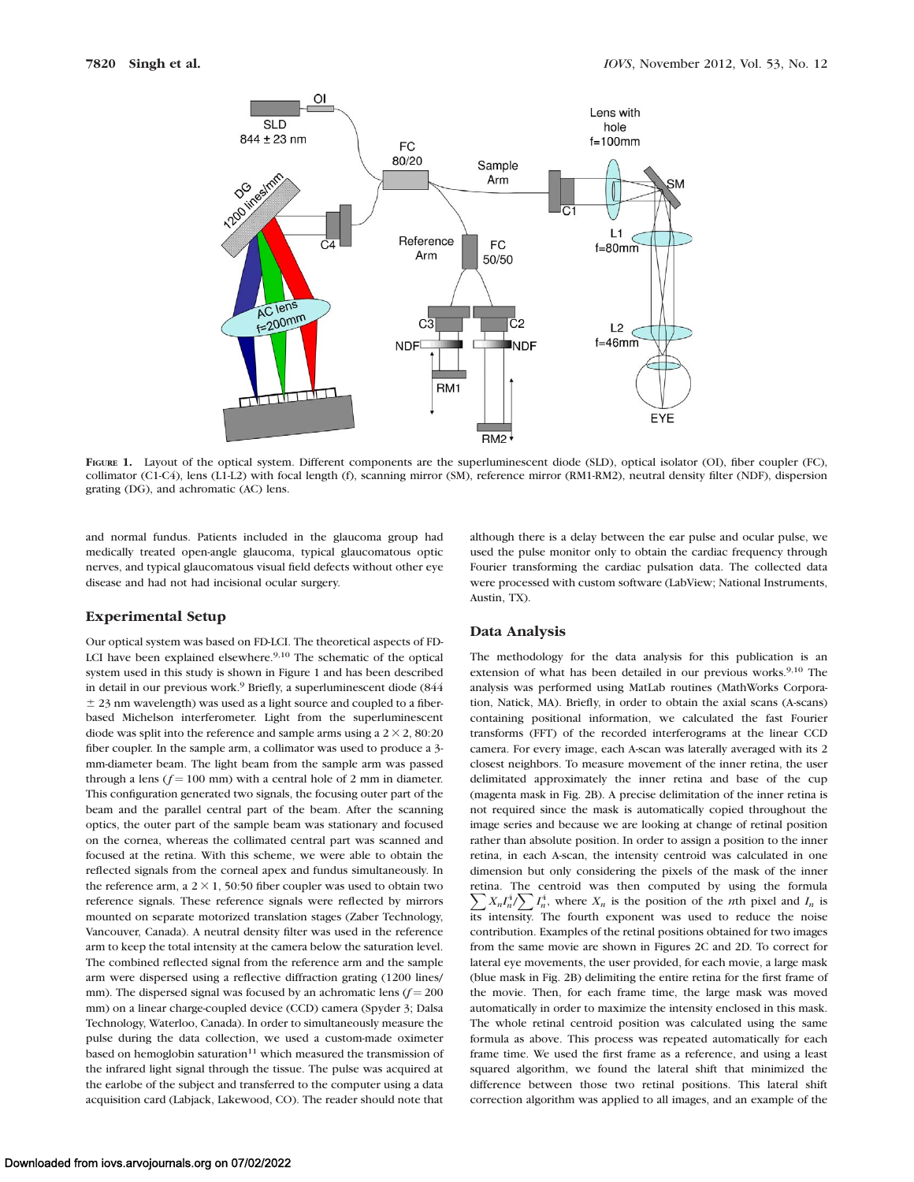

FIGURE 1. Layout of the optical system. Different components are the superluminescent diode (SLD), optical isolator (OI), fiber coupler (FC), collimator (C1-C4), lens (L1-L2) with focal length (f), scanning mirror (SM), reference mirror (RM1-RM2), neutral density filter (NDF), dispersion grating (DG), and achromatic (AC) lens.

and normal fundus. Patients included in the glaucoma group had medically treated open-angle glaucoma, typical glaucomatous optic nerves, and typical glaucomatous visual field defects without other eye disease and had not had incisional ocular surgery.

#### Experimental Setup

Our optical system was based on FD-LCI. The theoretical aspects of FD-LCI have been explained elsewhere.<sup>9,10</sup> The schematic of the optical system used in this study is shown in Figure 1 and has been described in detail in our previous work.<sup>9</sup> Briefly, a superluminescent diode (844  $\pm$  23 nm wavelength) was used as a light source and coupled to a fiberbased Michelson interferometer. Light from the superluminescent diode was split into the reference and sample arms using a  $2 \times 2$ , 80:20 fiber coupler. In the sample arm, a collimator was used to produce a 3 mm-diameter beam. The light beam from the sample arm was passed through a lens ( $f = 100$  mm) with a central hole of 2 mm in diameter. This configuration generated two signals, the focusing outer part of the beam and the parallel central part of the beam. After the scanning optics, the outer part of the sample beam was stationary and focused on the cornea, whereas the collimated central part was scanned and focused at the retina. With this scheme, we were able to obtain the reflected signals from the corneal apex and fundus simultaneously. In the reference arm, a  $2 \times 1$ , 50:50 fiber coupler was used to obtain two reference signals. These reference signals were reflected by mirrors mounted on separate motorized translation stages (Zaber Technology, Vancouver, Canada). A neutral density filter was used in the reference arm to keep the total intensity at the camera below the saturation level. The combined reflected signal from the reference arm and the sample arm were dispersed using a reflective diffraction grating (1200 lines/ mm). The dispersed signal was focused by an achromatic lens  $(f = 200$ mm) on a linear charge-coupled device (CCD) camera (Spyder 3; Dalsa Technology, Waterloo, Canada). In order to simultaneously measure the pulse during the data collection, we used a custom-made oximeter based on hemoglobin saturation $11$  which measured the transmission of the infrared light signal through the tissue. The pulse was acquired at the earlobe of the subject and transferred to the computer using a data acquisition card (Labjack, Lakewood, CO). The reader should note that

# Data Analysis

Austin, TX).

The methodology for the data analysis for this publication is an extension of what has been detailed in our previous works.<sup>9,10</sup> The analysis was performed using MatLab routines (MathWorks Corporation, Natick, MA). Briefly, in order to obtain the axial scans (A-scans) containing positional information, we calculated the fast Fourier transforms (FFT) of the recorded interferograms at the linear CCD camera. For every image, each A-scan was laterally averaged with its 2 closest neighbors. To measure movement of the inner retina, the user delimitated approximately the inner retina and base of the cup (magenta mask in Fig. 2B). A precise delimitation of the inner retina is not required since the mask is automatically copied throughout the image series and because we are looking at change of retinal position rather than absolute position. In order to assign a position to the inner retina, in each A-scan, the intensity centroid was calculated in one dimension but only considering the pixels of the mask of the inner retina. The centroid was then computed by using the formula  $\sum X_n I_n^4 / \sum I_n^4$ , where  $X_n$  is the position of the *n*th pixel and  $I_n$  is its intensity. The fourth exponent was used to reduce the noise contribution. Examples of the retinal positions obtained for two images from the same movie are shown in Figures 2C and 2D. To correct for lateral eye movements, the user provided, for each movie, a large mask (blue mask in Fig. 2B) delimiting the entire retina for the first frame of the movie. Then, for each frame time, the large mask was moved automatically in order to maximize the intensity enclosed in this mask. The whole retinal centroid position was calculated using the same formula as above. This process was repeated automatically for each frame time. We used the first frame as a reference, and using a least squared algorithm, we found the lateral shift that minimized the difference between those two retinal positions. This lateral shift correction algorithm was applied to all images, and an example of the

although there is a delay between the ear pulse and ocular pulse, we used the pulse monitor only to obtain the cardiac frequency through Fourier transforming the cardiac pulsation data. The collected data were processed with custom software (LabView; National Instruments,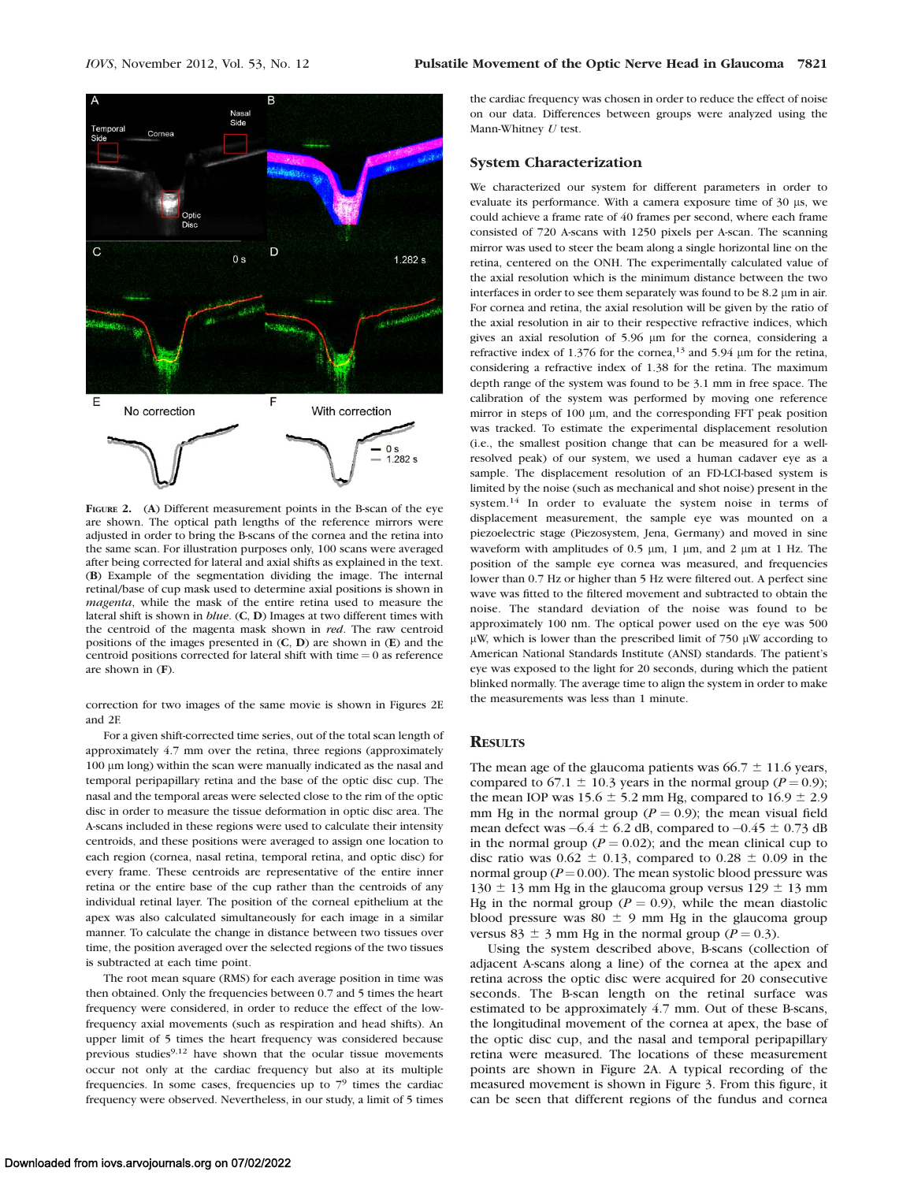

FIGURE 2. (A) Different measurement points in the B-scan of the eye are shown. The optical path lengths of the reference mirrors were adjusted in order to bring the B-scans of the cornea and the retina into the same scan. For illustration purposes only, 100 scans were averaged after being corrected for lateral and axial shifts as explained in the text. (B) Example of the segmentation dividing the image. The internal retinal/base of cup mask used to determine axial positions is shown in magenta, while the mask of the entire retina used to measure the lateral shift is shown in blue. (C, D) Images at two different times with the centroid of the magenta mask shown in red. The raw centroid positions of the images presented in (C, D) are shown in (E) and the centroid positions corrected for lateral shift with time  $= 0$  as reference are shown in (F).

correction for two images of the same movie is shown in Figures 2E and 2F.

For a given shift-corrected time series, out of the total scan length of approximately 4.7 mm over the retina, three regions (approximately 100 lm long) within the scan were manually indicated as the nasal and temporal peripapillary retina and the base of the optic disc cup. The nasal and the temporal areas were selected close to the rim of the optic disc in order to measure the tissue deformation in optic disc area. The A-scans included in these regions were used to calculate their intensity centroids, and these positions were averaged to assign one location to each region (cornea, nasal retina, temporal retina, and optic disc) for every frame. These centroids are representative of the entire inner retina or the entire base of the cup rather than the centroids of any individual retinal layer. The position of the corneal epithelium at the apex was also calculated simultaneously for each image in a similar manner. To calculate the change in distance between two tissues over time, the position averaged over the selected regions of the two tissues is subtracted at each time point.

The root mean square (RMS) for each average position in time was then obtained. Only the frequencies between 0.7 and 5 times the heart frequency were considered, in order to reduce the effect of the lowfrequency axial movements (such as respiration and head shifts). An upper limit of 5 times the heart frequency was considered because previous studies<sup>9,12</sup> have shown that the ocular tissue movements occur not only at the cardiac frequency but also at its multiple frequencies. In some cases, frequencies up to  $7<sup>9</sup>$  times the cardiac frequency were observed. Nevertheless, in our study, a limit of 5 times

the cardiac frequency was chosen in order to reduce the effect of noise on our data. Differences between groups were analyzed using the Mann-Whitney U test.

## System Characterization

We characterized our system for different parameters in order to evaluate its performance. With a camera exposure time of 30 µs, we could achieve a frame rate of 40 frames per second, where each frame consisted of 720 A-scans with 1250 pixels per A-scan. The scanning mirror was used to steer the beam along a single horizontal line on the retina, centered on the ONH. The experimentally calculated value of the axial resolution which is the minimum distance between the two interfaces in order to see them separately was found to be 8.2 µm in air. For cornea and retina, the axial resolution will be given by the ratio of the axial resolution in air to their respective refractive indices, which gives an axial resolution of 5.96  $\mu$ m for the cornea, considering a refractive index of 1.376 for the cornea,<sup>13</sup> and 5.94  $\mu$ m for the retina, considering a refractive index of 1.38 for the retina. The maximum depth range of the system was found to be 3.1 mm in free space. The calibration of the system was performed by moving one reference mirror in steps of 100  $\mu$ m, and the corresponding FFT peak position was tracked. To estimate the experimental displacement resolution (i.e., the smallest position change that can be measured for a wellresolved peak) of our system, we used a human cadaver eye as a sample. The displacement resolution of an FD-LCI-based system is limited by the noise (such as mechanical and shot noise) present in the system.<sup>14</sup> In order to evaluate the system noise in terms of displacement measurement, the sample eye was mounted on a piezoelectric stage (Piezosystem, Jena, Germany) and moved in sine waveform with amplitudes of 0.5  $\mu$ m, 1  $\mu$ m, and 2  $\mu$ m at 1 Hz. The position of the sample eye cornea was measured, and frequencies lower than 0.7 Hz or higher than 5 Hz were filtered out. A perfect sine wave was fitted to the filtered movement and subtracted to obtain the noise. The standard deviation of the noise was found to be approximately 100 nm. The optical power used on the eye was 500  $\mu$ W, which is lower than the prescribed limit of 750  $\mu$ W according to American National Standards Institute (ANSI) standards. The patient's eye was exposed to the light for 20 seconds, during which the patient blinked normally. The average time to align the system in order to make the measurements was less than 1 minute.

## **RESULTS**

The mean age of the glaucoma patients was  $66.7 \pm 11.6$  years, compared to 67.1  $\pm$  10.3 years in the normal group (P = 0.9); the mean IOP was 15.6  $\pm$  5.2 mm Hg, compared to 16.9  $\pm$  2.9 mm Hg in the normal group ( $P = 0.9$ ); the mean visual field mean defect was  $-6.4 \pm 6.2$  dB, compared to  $-0.45 \pm 0.73$  dB in the normal group ( $P = 0.02$ ); and the mean clinical cup to disc ratio was  $0.62 \pm 0.13$ , compared to  $0.28 \pm 0.09$  in the normal group ( $P = 0.00$ ). The mean systolic blood pressure was  $130 \pm 13$  mm Hg in the glaucoma group versus  $129 \pm 13$  mm Hg in the normal group ( $P = 0.9$ ), while the mean diastolic blood pressure was  $80 \pm 9$  mm Hg in the glaucoma group versus 83  $\pm$  3 mm Hg in the normal group (P = 0.3).

Using the system described above, B-scans (collection of adjacent A-scans along a line) of the cornea at the apex and retina across the optic disc were acquired for 20 consecutive seconds. The B-scan length on the retinal surface was estimated to be approximately 4.7 mm. Out of these B-scans, the longitudinal movement of the cornea at apex, the base of the optic disc cup, and the nasal and temporal peripapillary retina were measured. The locations of these measurement points are shown in Figure 2A. A typical recording of the measured movement is shown in Figure 3. From this figure, it can be seen that different regions of the fundus and cornea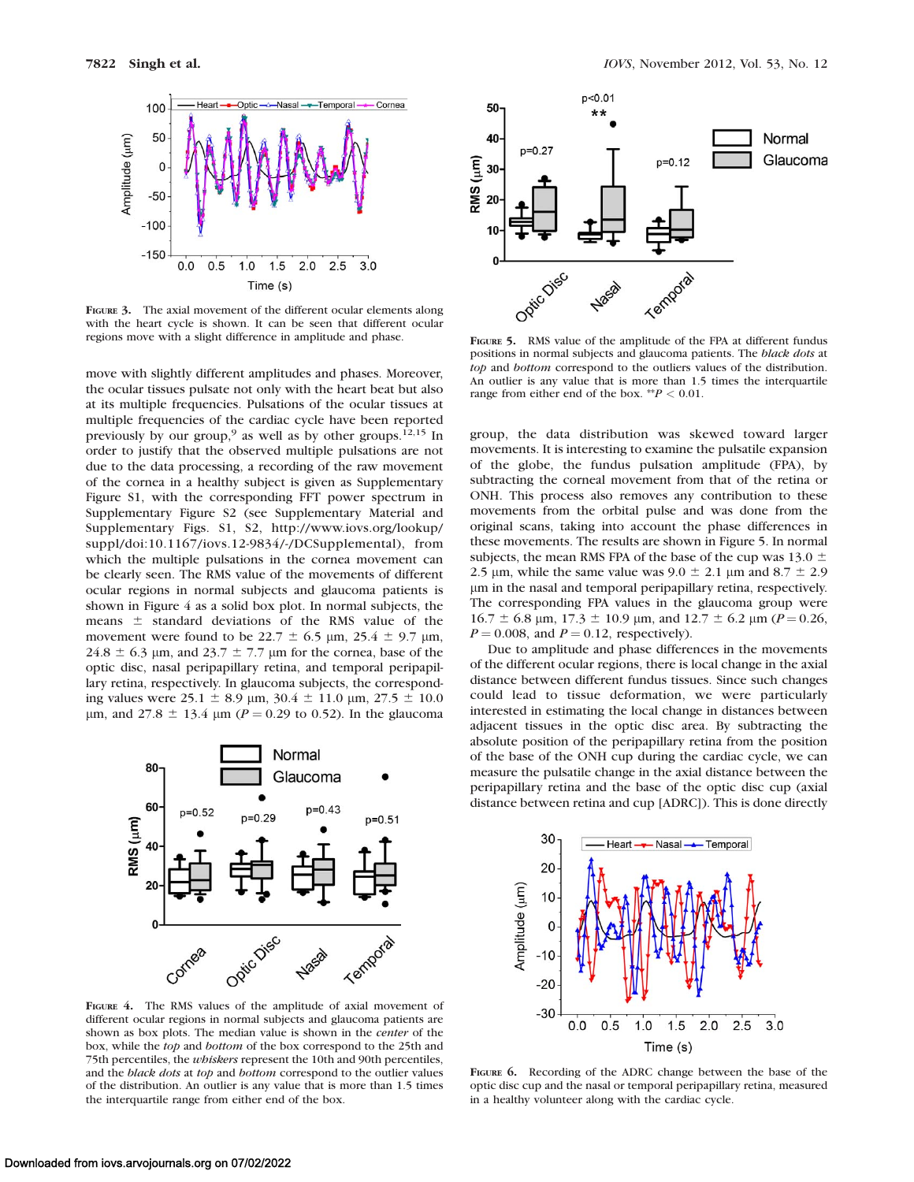

FIGURE 3. The axial movement of the different ocular elements along with the heart cycle is shown. It can be seen that different ocular regions move with a slight difference in amplitude and phase.

move with slightly different amplitudes and phases. Moreover, the ocular tissues pulsate not only with the heart beat but also at its multiple frequencies. Pulsations of the ocular tissues at multiple frequencies of the cardiac cycle have been reported previously by our group,<sup>9</sup> as well as by other groups.<sup>12,15</sup> In order to justify that the observed multiple pulsations are not due to the data processing, a recording of the raw movement of the cornea in a healthy subject is given as Supplementary Figure S1, with the corresponding FFT power spectrum in Supplementary Figure S2 (see Supplementary Material and Supplementary Figs. S1, S2, http://www.iovs.org/lookup/ suppl/doi:10.1167/iovs.12-9834/-/DCSupplemental), from which the multiple pulsations in the cornea movement can be clearly seen. The RMS value of the movements of different ocular regions in normal subjects and glaucoma patients is shown in Figure 4 as a solid box plot. In normal subjects, the means  $\pm$  standard deviations of the RMS value of the movement were found to be 22.7  $\pm$  6.5  $\mu$ m, 25.4  $\pm$  9.7  $\mu$ m,  $24.8 \pm 6.3$  µm, and  $23.7 \pm 7.7$  µm for the cornea, base of the optic disc, nasal peripapillary retina, and temporal peripapillary retina, respectively. In glaucoma subjects, the corresponding values were  $25.1 \pm 8.9$  µm,  $30.4 \pm 11.0$  µm,  $27.5 \pm 10.0$ μm, and 27.8  $\pm$  13.4 μm (P = 0.29 to 0.52). In the glaucoma



FIGURE 4. The RMS values of the amplitude of axial movement of different ocular regions in normal subjects and glaucoma patients are shown as box plots. The median value is shown in the center of the box, while the top and bottom of the box correspond to the 25th and 75th percentiles, the *whiskers* represent the 10th and 90th percentiles, and the black dots at top and bottom correspond to the outlier values of the distribution. An outlier is any value that is more than 1.5 times the interquartile range from either end of the box.



FIGURE 5. RMS value of the amplitude of the FPA at different fundus positions in normal subjects and glaucoma patients. The black dots at top and bottom correspond to the outliers values of the distribution. An outlier is any value that is more than 1.5 times the interquartile range from either end of the box. \*\* $P < 0.01$ .

group, the data distribution was skewed toward larger movements. It is interesting to examine the pulsatile expansion of the globe, the fundus pulsation amplitude (FPA), by subtracting the corneal movement from that of the retina or ONH. This process also removes any contribution to these movements from the orbital pulse and was done from the original scans, taking into account the phase differences in these movements. The results are shown in Figure 5. In normal subjects, the mean RMS FPA of the base of the cup was 13.0  $\pm$ 2.5 µm, while the same value was  $9.0 \pm 2.1$  µm and  $8.7 \pm 2.9$ lm in the nasal and temporal peripapillary retina, respectively. The corresponding FPA values in the glaucoma group were  $16.7 \pm 6.8$  µm,  $17.3 \pm 10.9$  µm, and  $12.7 \pm 6.2$  µm ( $P = 0.26$ ,  $P = 0.008$ , and  $P = 0.12$ , respectively).

Due to amplitude and phase differences in the movements of the different ocular regions, there is local change in the axial distance between different fundus tissues. Since such changes could lead to tissue deformation, we were particularly interested in estimating the local change in distances between adjacent tissues in the optic disc area. By subtracting the absolute position of the peripapillary retina from the position of the base of the ONH cup during the cardiac cycle, we can measure the pulsatile change in the axial distance between the peripapillary retina and the base of the optic disc cup (axial distance between retina and cup [ADRC]). This is done directly



FIGURE 6. Recording of the ADRC change between the base of the optic disc cup and the nasal or temporal peripapillary retina, measured in a healthy volunteer along with the cardiac cycle.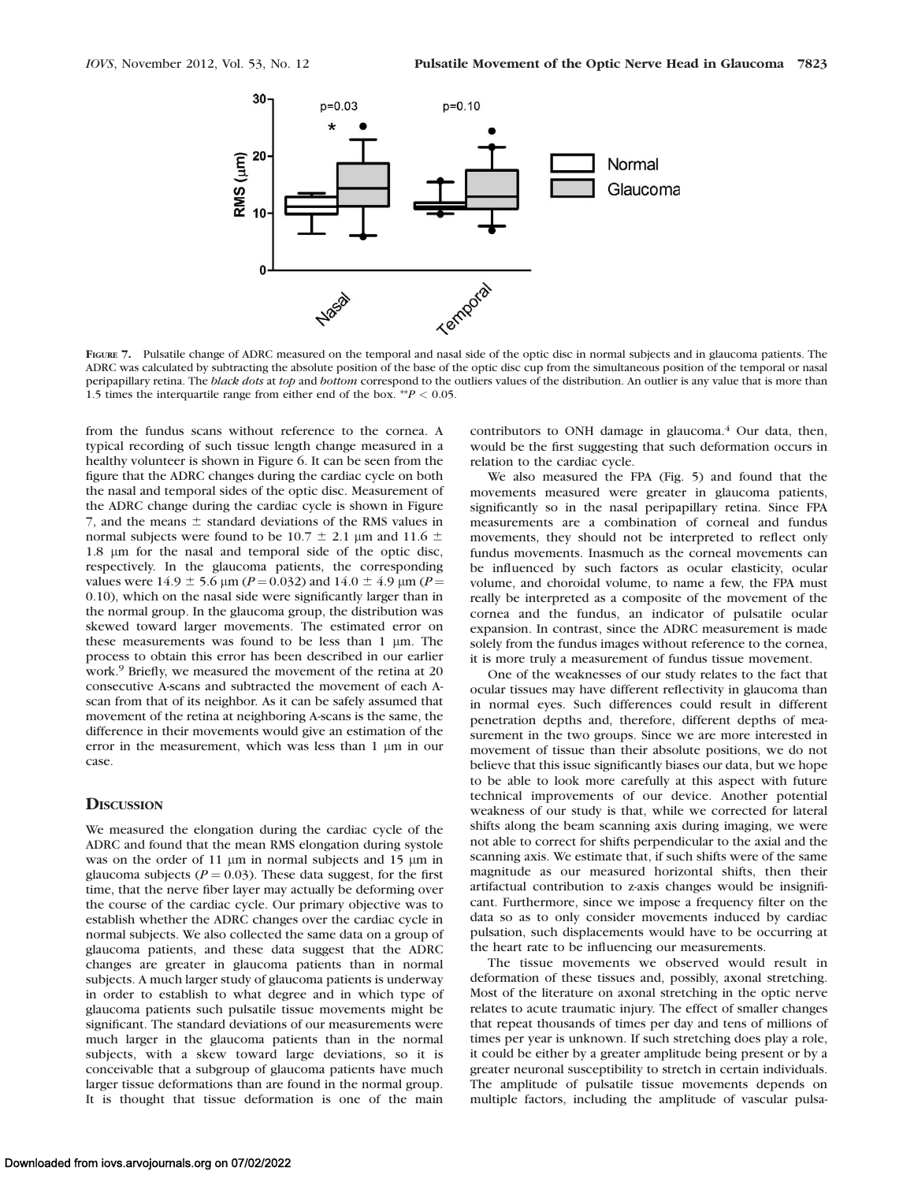

FIGURE 7. Pulsatile change of ADRC measured on the temporal and nasal side of the optic disc in normal subjects and in glaucoma patients. The ADRC was calculated by subtracting the absolute position of the base of the optic disc cup from the simultaneous position of the temporal or nasal peripapillary retina. The black dots at top and bottom correspond to the outliers values of the distribution. An outlier is any value that is more than 1.5 times the interquartile range from either end of the box. \*\*  $P < 0.05$ .

from the fundus scans without reference to the cornea. A typical recording of such tissue length change measured in a healthy volunteer is shown in Figure 6. It can be seen from the figure that the ADRC changes during the cardiac cycle on both the nasal and temporal sides of the optic disc. Measurement of the ADRC change during the cardiac cycle is shown in Figure 7, and the means  $\pm$  standard deviations of the RMS values in normal subjects were found to be 10.7  $\pm$  2.1 µm and 11.6  $\pm$ 1.8 lm for the nasal and temporal side of the optic disc, respectively. In the glaucoma patients, the corresponding values were 14.9  $\pm$  5.6 µm (P = 0.032) and 14.0  $\pm$  4.9 µm (P = 0.10), which on the nasal side were significantly larger than in the normal group. In the glaucoma group, the distribution was skewed toward larger movements. The estimated error on these measurements was found to be less than  $1 \mu m$ . The process to obtain this error has been described in our earlier work.<sup>9</sup> Briefly, we measured the movement of the retina at 20 consecutive A-scans and subtracted the movement of each Ascan from that of its neighbor. As it can be safely assumed that movement of the retina at neighboring A-scans is the same, the difference in their movements would give an estimation of the error in the measurement, which was less than 1 µm in our case.

#### **DISCUSSION**

We measured the elongation during the cardiac cycle of the ADRC and found that the mean RMS elongation during systole was on the order of 11  $\mu$ m in normal subjects and 15  $\mu$ m in glaucoma subjects ( $P = 0.03$ ). These data suggest, for the first time, that the nerve fiber layer may actually be deforming over the course of the cardiac cycle. Our primary objective was to establish whether the ADRC changes over the cardiac cycle in normal subjects. We also collected the same data on a group of glaucoma patients, and these data suggest that the ADRC changes are greater in glaucoma patients than in normal subjects. A much larger study of glaucoma patients is underway in order to establish to what degree and in which type of glaucoma patients such pulsatile tissue movements might be significant. The standard deviations of our measurements were much larger in the glaucoma patients than in the normal subjects, with a skew toward large deviations, so it is conceivable that a subgroup of glaucoma patients have much larger tissue deformations than are found in the normal group. It is thought that tissue deformation is one of the main

contributors to ONH damage in glaucoma.<sup>4</sup> Our data, then, would be the first suggesting that such deformation occurs in relation to the cardiac cycle.

We also measured the FPA (Fig. 5) and found that the movements measured were greater in glaucoma patients, significantly so in the nasal peripapillary retina. Since FPA measurements are a combination of corneal and fundus movements, they should not be interpreted to reflect only fundus movements. Inasmuch as the corneal movements can be influenced by such factors as ocular elasticity, ocular volume, and choroidal volume, to name a few, the FPA must really be interpreted as a composite of the movement of the cornea and the fundus, an indicator of pulsatile ocular expansion. In contrast, since the ADRC measurement is made solely from the fundus images without reference to the cornea, it is more truly a measurement of fundus tissue movement.

One of the weaknesses of our study relates to the fact that ocular tissues may have different reflectivity in glaucoma than in normal eyes. Such differences could result in different penetration depths and, therefore, different depths of measurement in the two groups. Since we are more interested in movement of tissue than their absolute positions, we do not believe that this issue significantly biases our data, but we hope to be able to look more carefully at this aspect with future technical improvements of our device. Another potential weakness of our study is that, while we corrected for lateral shifts along the beam scanning axis during imaging, we were not able to correct for shifts perpendicular to the axial and the scanning axis. We estimate that, if such shifts were of the same magnitude as our measured horizontal shifts, then their artifactual contribution to z-axis changes would be insignificant. Furthermore, since we impose a frequency filter on the data so as to only consider movements induced by cardiac pulsation, such displacements would have to be occurring at the heart rate to be influencing our measurements.

The tissue movements we observed would result in deformation of these tissues and, possibly, axonal stretching. Most of the literature on axonal stretching in the optic nerve relates to acute traumatic injury. The effect of smaller changes that repeat thousands of times per day and tens of millions of times per year is unknown. If such stretching does play a role, it could be either by a greater amplitude being present or by a greater neuronal susceptibility to stretch in certain individuals. The amplitude of pulsatile tissue movements depends on multiple factors, including the amplitude of vascular pulsa